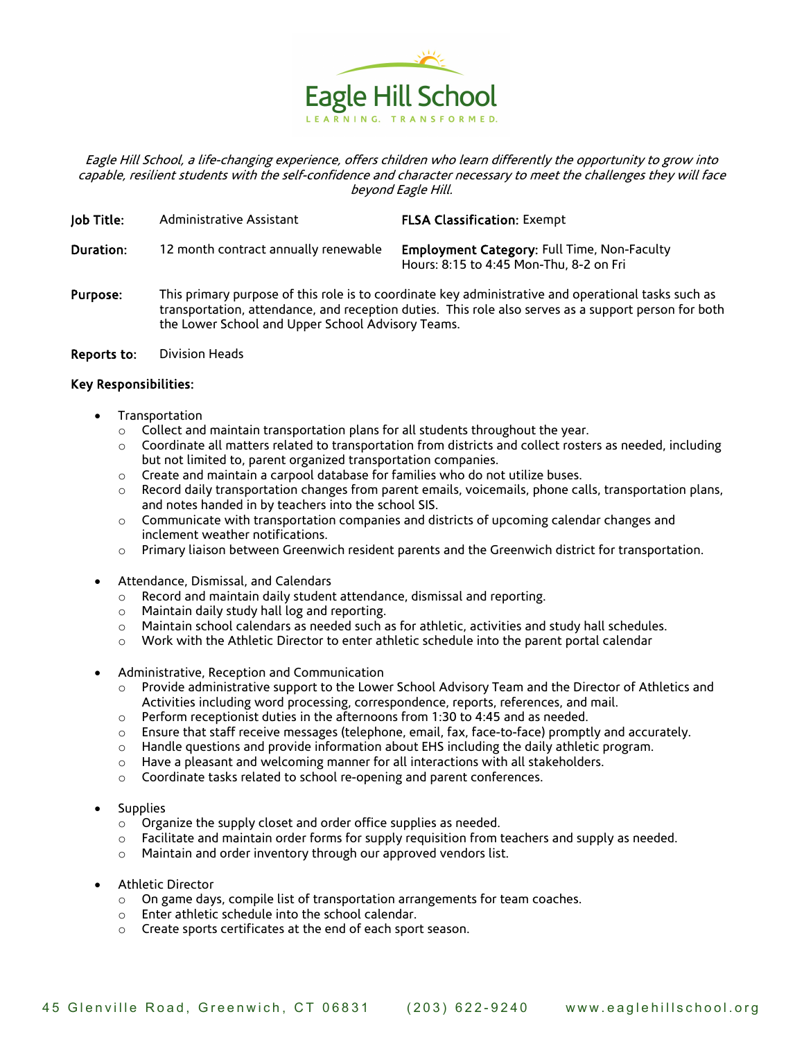

Eagle Hill School, a life-changing experience, offers children who learn differently the opportunity to grow into capable, resilient students with the self-confidence and character necessary to meet the challenges they will face beyond Eagle Hill.

| Job Title: | Administrative Assistant                                                                                                                                                                                                                                         | <b>FLSA Classification: Exempt</b>                                                            |
|------------|------------------------------------------------------------------------------------------------------------------------------------------------------------------------------------------------------------------------------------------------------------------|-----------------------------------------------------------------------------------------------|
| Duration:  | 12 month contract annually renewable                                                                                                                                                                                                                             | <b>Employment Category: Full Time, Non-Faculty</b><br>Hours: 8:15 to 4:45 Mon-Thu, 8-2 on Fri |
| Purpose:   | This primary purpose of this role is to coordinate key administrative and operational tasks such as<br>transportation, attendance, and reception duties. This role also serves as a support person for both<br>the Lower School and Upper School Advisory Teams. |                                                                                               |

Reports to: Division Heads

## Key Responsibilities:

- Transportation
	- $\circ$  Collect and maintain transportation plans for all students throughout the year.
	- $\circ$  Coordinate all matters related to transportation from districts and collect rosters as needed, including but not limited to, parent organized transportation companies.
	- o Create and maintain a carpool database for families who do not utilize buses.
	- o Record daily transportation changes from parent emails, voicemails, phone calls, transportation plans, and notes handed in by teachers into the school SIS.
	- $\circ$  Communicate with transportation companies and districts of upcoming calendar changes and inclement weather notifications.
	- $\circ$  Primary liaison between Greenwich resident parents and the Greenwich district for transportation.
- Attendance, Dismissal, and Calendars
	- o Record and maintain daily student attendance, dismissal and reporting.
	- o Maintain daily study hall log and reporting.
	- $\circ$  Maintain school calendars as needed such as for athletic, activities and study hall schedules.
	- o Work with the Athletic Director to enter athletic schedule into the parent portal calendar
- Administrative, Reception and Communication
	- $\circ$  Provide administrative support to the Lower School Advisory Team and the Director of Athletics and Activities including word processing, correspondence, reports, references, and mail.
	- $\circ$  Perform receptionist duties in the afternoons from 1:30 to 4:45 and as needed.
	- o Ensure that staff receive messages (telephone, email, fax, face-to-face) promptly and accurately.
	- o Handle questions and provide information about EHS including the daily athletic program.
	- $\circ$  Have a pleasant and welcoming manner for all interactions with all stakeholders.
	- o Coordinate tasks related to school re-opening and parent conferences.
- **Supplies** 
	- o Organize the supply closet and order office supplies as needed.
	- $\circ$  Facilitate and maintain order forms for supply requisition from teachers and supply as needed.
	- o Maintain and order inventory through our approved vendors list.
- Athletic Director
	- $\circ$  On game days, compile list of transportation arrangements for team coaches.
	- o Enter athletic schedule into the school calendar.
	- o Create sports certificates at the end of each sport season.